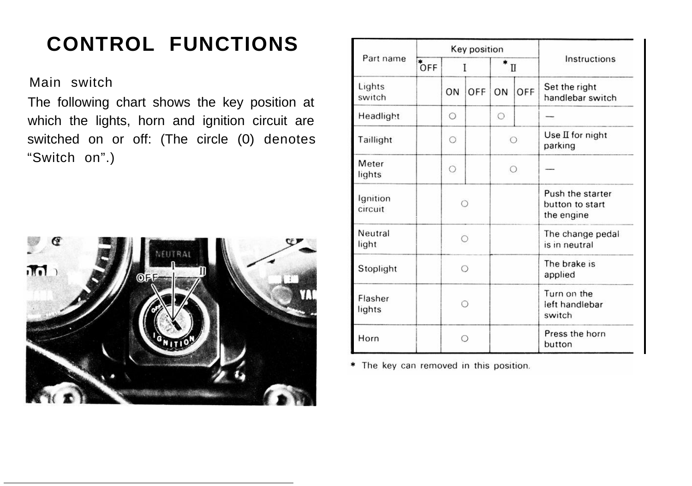# **CONTROL FUNCTIONS**

Main switch

The following chart shows the key position at which the lights, horn and ignition circuit are switched on or off: (The circle (0) denotes "Switch on".)



| Part name           | Key position     |            |     |            |     |                                                   |
|---------------------|------------------|------------|-----|------------|-----|---------------------------------------------------|
|                     | $\overline{OFF}$ |            |     | Π          |     | Instructions                                      |
| Lights<br>switch    |                  | ON         | OFF | ON         | OFF | Set the right<br>handlebar switch                 |
| Headlight           |                  | $\circ$    |     | $\circ$    |     |                                                   |
| Taillight           |                  | $\circ$    |     | ◯          |     | Use II for night<br>parking                       |
| Meter<br>lights     |                  | $\circ$    |     | $\bigcirc$ |     |                                                   |
| Ignition<br>circuit |                  | $\bigcirc$ |     |            |     | Push the starter<br>button to start<br>the engine |
| Neutral<br>light    |                  | ∩          |     |            |     | The change pedal<br>is in neutral                 |
| Stoplight           |                  | $\bigcirc$ |     |            |     | The brake is<br>applied                           |
| Flasher<br>lights   |                  | ∩          |     |            |     | Turn on the<br>left handlebar<br>switch           |
| Horn                |                  | ∩          |     |            |     | Press the horn<br>button                          |

\* The key can removed in this position.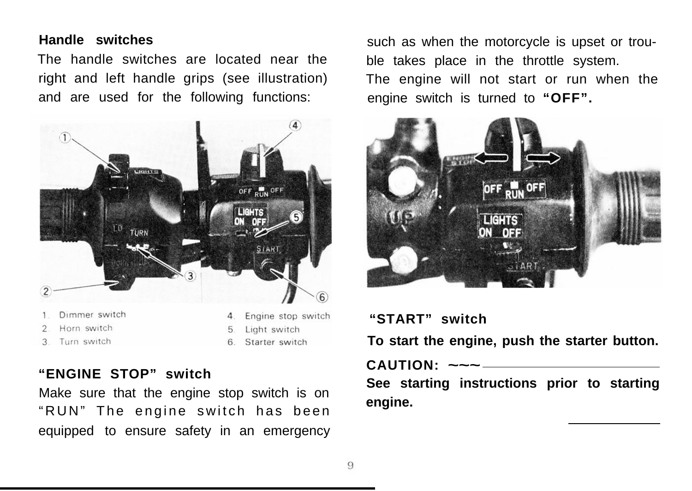### **Handle switches**

The handle switches are located near the right and left handle grips (see illustration) and are used for the following functions:



Turn switch  $\mathcal{R}$ 

6. Starter switch

# **"ENGINE STOP" switch**

Make sure that the engine stop switch is on "RUN" The engine switch has been equipped to ensure safety in an emergency

such as when the motorcycle is upset or trouble takes place in the throttle system. The engine will not start or run when the engine switch is turned to **"OFF".**



## **"START" switch**

**To start the engine, push the starter button.**

#### **CAUTION: ~~~**

**See starting instructions prior to starting engine.**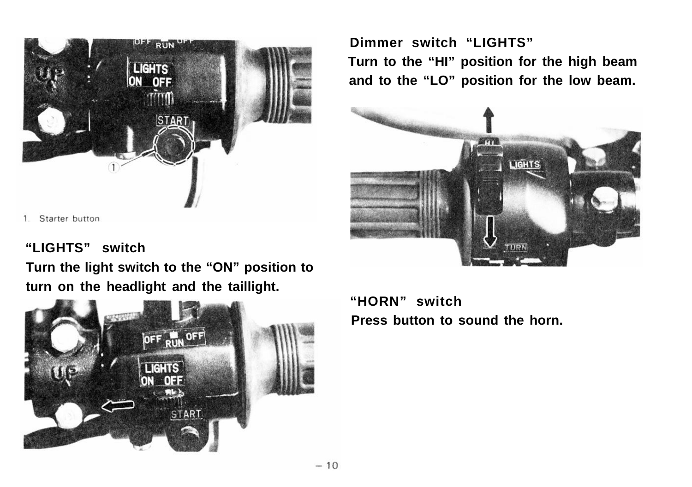

1. Starter button

# **"LIGHTS" switch**

**Turn the light switch to the "ON" position to turn on the headlight and the taillight.**



**Dimmer switch "LIGHTS" Turn to the "HI" position for the high beam and to the "LO" position for the low beam.**



**"HORN" switch Press button to sound the horn.**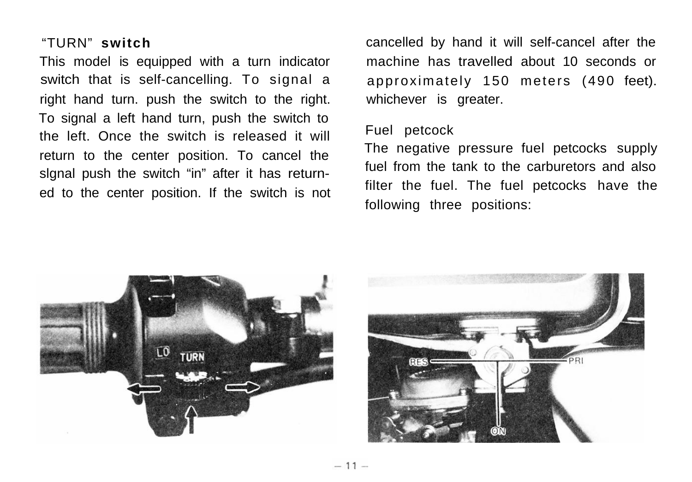switch that is self-cancelling. To signal a approximately 150 meters (490 feet). right hand turn. push the switch to the right. whichever is greater. To signal a left hand turn, push the switch to the left. Once the switch is released it will<br>
The negative pressure fuel petcocks supply<br>
The negative pressure fuel petcocks supply return to the center position. To cancel the The negative pressure fuel petcocks supply signal push the switch "in" after it has return-<br>filter the fuel. The fuel petcocks have the ed to the center position. If the switch is not

"TURN" **switch** cancelled by hand it will self-cancel after the This model is equipped with a turn indicator machine has travelled about 10 seconds or

following three positions: